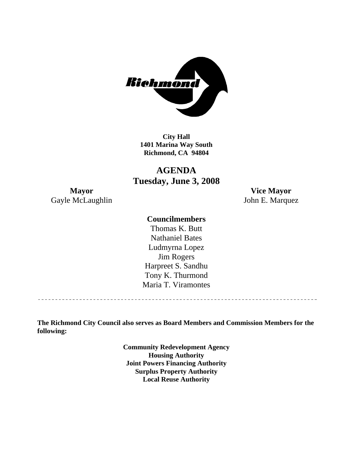

**City Hall 1401 Marina Way South Richmond, CA 94804** 

# **AGENDA Tuesday, June 3, 2008**

**Mayor Vice Mayor**  Gayle McLaughlin John E. Marquez

#### **Councilmembers**

Harpreet S. Sandhu Tony K. Thurmond Maria T. Viramontes Thomas K. Butt Nathaniel Bates Ludmyrna Lopez Jim Rogers

**The Richmond City Council also serves as Board Members and Commission Members for the following:** 

> **Community Redevelopment Agency Housing Authority Joint Powers Financing Authority Surplus Property Authority Local Reuse Authority**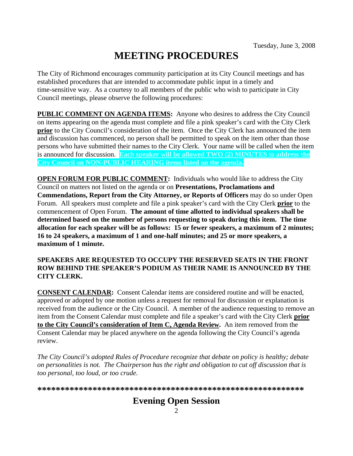# **MEETING PROCEDURES**

The City of Richmond encourages community participation at its City Council meetings and has established procedures that are intended to accommodate public input in a timely and time-sensitive way. As a courtesy to all members of the public who wish to participate in City Council meetings, please observe the following procedures:

**PUBLIC COMMENT ON AGENDA ITEMS:** Anyone who desires to address the City Council on items appearing on the agenda must complete and file a pink speaker's card with the City Clerk **prior** to the City Council's consideration of the item. Once the City Clerk has announced the item and discussion has commenced, no person shall be permitted to speak on the item other than those persons who have submitted their names to the City Clerk. Your name will be called when the item is announced for discussion. **Each speaker will be allowed TWO (2) MINUTES to address the City Council on NON-PUBLIC HEARING items listed on the agenda.** 

**OPEN FORUM FOR PUBLIC COMMENT:** Individuals who would like to address the City Council on matters not listed on the agenda or on **Presentations, Proclamations and Commendations, Report from the City Attorney, or Reports of Officers** may do so under Open Forum. All speakers must complete and file a pink speaker's card with the City Clerk **prior** to the commencement of Open Forum. **The amount of time allotted to individual speakers shall be determined based on the number of persons requesting to speak during this item. The time allocation for each speaker will be as follows: 15 or fewer speakers, a maximum of 2 minutes; 16 to 24 speakers, a maximum of 1 and one-half minutes; and 25 or more speakers, a maximum of 1 minute.** 

#### **SPEAKERS ARE REQUESTED TO OCCUPY THE RESERVED SEATS IN THE FRONT ROW BEHIND THE SPEAKER'S PODIUM AS THEIR NAME IS ANNOUNCED BY THE CITY CLERK.**

**CONSENT CALENDAR:** Consent Calendar items are considered routine and will be enacted, approved or adopted by one motion unless a request for removal for discussion or explanation is received from the audience or the City Council. A member of the audience requesting to remove an item from the Consent Calendar must complete and file a speaker's card with the City Clerk **prior to the City Council's consideration of Item C, Agenda Review.** An item removed from the Consent Calendar may be placed anywhere on the agenda following the City Council's agenda review.

*The City Council's adopted Rules of Procedure recognize that debate on policy is healthy; debate on personalities is not. The Chairperson has the right and obligation to cut off discussion that is too personal, too loud, or too crude.* 

**\*\*\*\*\*\*\*\*\*\*\*\*\*\*\*\*\*\*\*\*\*\*\*\*\*\*\*\*\*\*\*\*\*\*\*\*\*\*\*\*\*\*\*\*\*\*\*\*\*\*\*\*\*\*\*\*\*\***

# **Evening Open Session**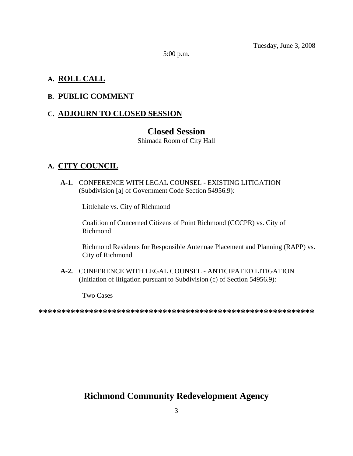Tuesday, June 3, 2008

5:00 p.m.

#### **A. ROLL CALL**

### **B. PUBLIC COMMENT**

# **C. ADJOURN TO CLOSED SESSION**

# **Closed Session**

Shimada Room of City Hall

### **A. CITY COUNCIL**

 **A-1.** CONFERENCE WITH LEGAL COUNSEL - EXISTING LITIGATION (Subdivision [a] of Government Code Section 54956.9):

Littlehale vs. City of Richmond

Coalition of Concerned Citizens of Point Richmond (CCCPR) vs. City of Richmond

Richmond Residents for Responsible Antennae Placement and Planning (RAPP) vs. City of Richmond

 **A-2.** CONFERENCE WITH LEGAL COUNSEL - ANTICIPATED LITIGATION (Initiation of litigation pursuant to Subdivision (c) of Section 54956.9):

Two Cases

**\*\*\*\*\*\*\*\*\*\*\*\*\*\*\*\*\*\*\*\*\*\*\*\*\*\*\*\*\*\*\*\*\*\*\*\*\*\*\*\*\*\*\*\*\*\*\*\*\*\*\*\*\*\*\*\*\*\*\*\*** 

# **Richmond Community Redevelopment Agency**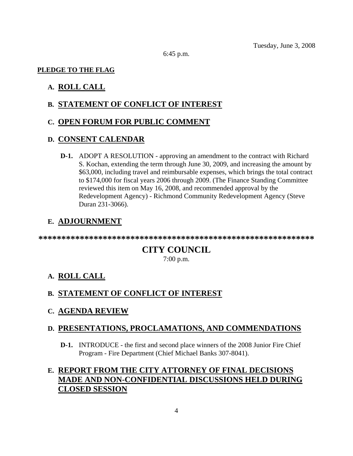6:45 p.m.

#### **PLEDGE TO THE FLAG**

#### **A. ROLL CALL**

#### **B. STATEMENT OF CONFLICT OF INTEREST**

#### **C. OPEN FORUM FOR PUBLIC COMMENT**

#### **D. CONSENT CALENDAR**

 **D-1.** ADOPT A RESOLUTION - approving an amendment to the contract with Richard S. Kochan, extending the term through June 30, 2009, and increasing the amount by \$63,000, including travel and reimbursable expenses, which brings the total contract to \$174,000 for fiscal years 2006 through 2009. (The Finance Standing Committee reviewed this item on May 16, 2008, and recommended approval by the Redevelopment Agency) - Richmond Community Redevelopment Agency (Steve Duran 231-3066).

#### **E. ADJOURNMENT**

**\*\*\*\*\*\*\*\*\*\*\*\*\*\*\*\*\*\*\*\*\*\*\*\*\*\*\*\*\*\*\*\*\*\*\*\*\*\*\*\*\*\*\*\*\*\*\*\*\*\*\*\*\*\*\*\*\*\*\*\*** 

# **CITY COUNCIL**

7:00 p.m.

#### **A. ROLL CALL**

#### **B. STATEMENT OF CONFLICT OF INTEREST**

**C. AGENDA REVIEW**

#### **D. PRESENTATIONS, PROCLAMATIONS, AND COMMENDATIONS**

 **D-1.** INTRODUCE - the first and second place winners of the 2008 Junior Fire Chief Program - Fire Department (Chief Michael Banks 307-8041).

# **E. REPORT FROM THE CITY ATTORNEY OF FINAL DECISIONS MADE AND NON-CONFIDENTIAL DISCUSSIONS HELD DURING CLOSED SESSION**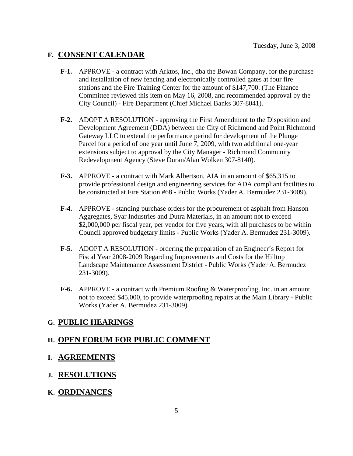# **F. CONSENT CALENDAR**

- **F-1.** APPROVE a contract with Arktos, Inc., dba the Bowan Company, for the purchase and installation of new fencing and electronically controlled gates at four fire stations and the Fire Training Center for the amount of \$147,700. (The Finance Committee reviewed this item on May 16, 2008, and recommended approval by the City Council) - Fire Department (Chief Michael Banks 307-8041).
- **F-2.** ADOPT A RESOLUTION approving the First Amendment to the Disposition and Development Agreement (DDA) between the City of Richmond and Point Richmond Gateway LLC to extend the performance period for development of the Plunge Parcel for a period of one year until June 7, 2009, with two additional one-year extensions subject to approval by the City Manager - Richmond Community Redevelopment Agency (Steve Duran/Alan Wolken 307-8140).
- **F-3.** APPROVE a contract with Mark Albertson, AIA in an amount of \$65,315 to provide professional design and engineering services for ADA compliant facilities to be constructed at Fire Station #68 - Public Works (Yader A. Bermudez 231-3009).
- **F-4.** APPROVE standing purchase orders for the procurement of asphalt from Hanson Aggregates, Syar Industries and Dutra Materials, in an amount not to exceed \$2,000,000 per fiscal year, per vendor for five years, with all purchases to be within Council approved budgetary limits - Public Works (Yader A. Bermudez 231-3009).
- **F-5.** ADOPT A RESOLUTION ordering the preparation of an Engineer's Report for Fiscal Year 2008-2009 Regarding Improvements and Costs for the Hilltop Landscape Maintenance Assessment District - Public Works (Yader A. Bermudez 231-3009).
- **F-6.** APPROVE a contract with Premium Roofing & Waterproofing, Inc. in an amount not to exceed \$45,000, to provide waterproofing repairs at the Main Library - Public Works (Yader A. Bermudez 231-3009).

# **G. PUBLIC HEARINGS**

# **H. OPEN FORUM FOR PUBLIC COMMENT**

# **I. AGREEMENTS**

# **J. RESOLUTIONS**

# **K. ORDINANCES**